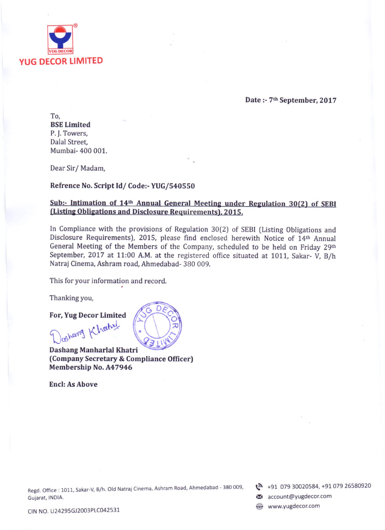

Date: - 7th September, 2017

To. **BSE Limited** P.J. Towers, Dalal Street, Mumbai- 400 001.

Dear Sir/Madam,

#### Refrence No. Script Id/Code:- YUG/540550

# Sub:- Intimation of 14th Annual General Meeting under Regulation 30(2) of SEBI (Listing Obligations and Disclosure Requirements), 2015.

In Compliance with the provisions of Regulation 30(2) of SEBI (Listing Obligations and Disclosure Requirements), 2015, please find enclosed herewith Notice of 14th Annual General Meeting of the Members of the Company, scheduled to be held on Friday 29th September, 2017 at 11:00 A.M. at the registered office situated at 1011, Sakar- V. B/h Natraj Cinema, Ashram road, Ahmedabad- 380 009.

This for your information and record.

Thanking you,

#### For, Yug Decor Limited

chemy Khatzl Dashang Manharlal Khatri (Company Secretary & Compliance Officer) Membership No. A47946

**Encl: As Above** 

Regd. Office: 1011, Sakar-V, B/h. Old Natraj Cinema, Ashram Road, Ahmedabad - 380 009, Gujarat, INDIA.

t +91 079 30020584, +91 079 26580920

account@yugdecor.com

www.yugdecor.com

CIN NO. U24295GJ2003PLC042531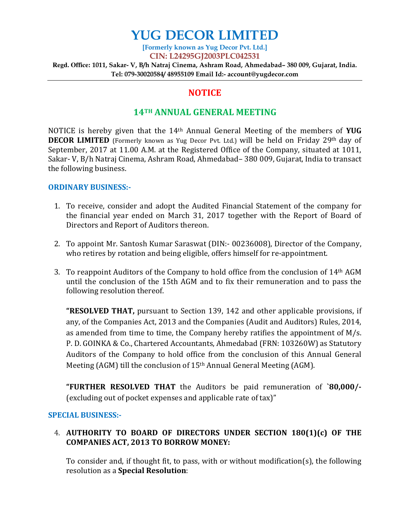# **YUG DECOR LIMITED**

**[Formerly known as Yug Decor Pvt. Ltd.] CIN: L24295GJ2003PLC042531** 

**Regd. Office: 1011, Sakar- V, B/h Natraj Cinema, Ashram Road, Ahmedabad– 380 009, Gujarat, India. Tel: 079-30020584/ 48955109 Email Id:- account@yugdecor.com** 

# **NOTICE**

# **14TH ANNUAL GENERAL MEETING**

NOTICE is hereby given that the 14th Annual General Meeting of the members of **YUG DECOR LIMITED** (Formerly known as Yug Decor Pvt. Ltd.) will be held on Friday 29th day of September, 2017 at 11.00 A.M. at the Registered Office of the Company, situated at 1011, Sakar- V, B/h Natraj Cinema, Ashram Road, Ahmedabad– 380 009, Gujarat, India to transact the following business.

### **ORDINARY BUSINESS:-**

- 1. To receive, consider and adopt the Audited Financial Statement of the company for the financial year ended on March 31, 2017 together with the Report of Board of Directors and Report of Auditors thereon.
- 2. To appoint Mr. Santosh Kumar Saraswat (DIN:- 00236008), Director of the Company, who retires by rotation and being eligible, offers himself for re-appointment.
- 3. To reappoint Auditors of the Company to hold office from the conclusion of  $14<sup>th</sup>$  AGM until the conclusion of the 15th AGM and to fix their remuneration and to pass the following resolution thereof.

**"RESOLVED THAT,** pursuant to Section 139, 142 and other applicable provisions, if any, of the Companies Act, 2013 and the Companies (Audit and Auditors) Rules, 2014, as amended from time to time, the Company hereby ratifies the appointment of M/s. P. D. GOINKA & Co., Chartered Accountants, Ahmedabad (FRN: 103260W) as Statutory Auditors of the Company to hold office from the conclusion of this Annual General Meeting (AGM) till the conclusion of 15<sup>th</sup> Annual General Meeting (AGM).

**"FURTHER RESOLVED THAT** the Auditors be paid remuneration of **`80,000/-** (excluding out of pocket expenses and applicable rate of tax)"

# **SPECIAL BUSINESS:-**

# 4. **AUTHORITY TO BOARD OF DIRECTORS UNDER SECTION 180(1)(c) OF THE COMPANIES ACT, 2013 TO BORROW MONEY:**

To consider and, if thought fit, to pass, with or without modification(s), the following resolution as a **Special Resolution**: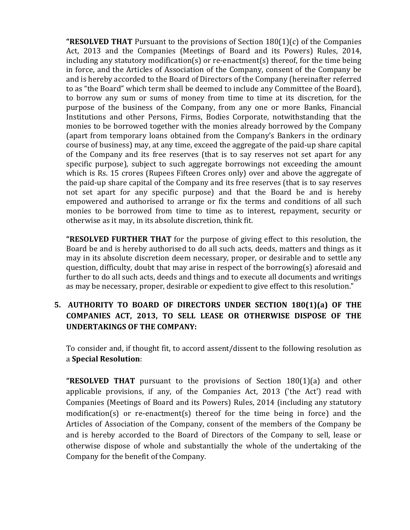**"RESOLVED THAT** Pursuant to the provisions of Section 180(1)(c) of the Companies Act, 2013 and the Companies (Meetings of Board and its Powers) Rules, 2014, including any statutory modification(s) or re-enactment(s) thereof, for the time being in force, and the Articles of Association of the Company, consent of the Company be and is hereby accorded to the Board of Directors of the Company (hereinafter referred to as "the Board" which term shall be deemed to include any Committee of the Board), to borrow any sum or sums of money from time to time at its discretion, for the purpose of the business of the Company, from any one or more Banks, Financial Institutions and other Persons, Firms, Bodies Corporate, notwithstanding that the monies to be borrowed together with the monies already borrowed by the Company (apart from temporary loans obtained from the Company's Bankers in the ordinary course of business) may, at any time, exceed the aggregate of the paid-up share capital of the Company and its free reserves (that is to say reserves not set apart for any specific purpose), subject to such aggregate borrowings not exceeding the amount which is Rs. 15 crores (Rupees Fifteen Crores only) over and above the aggregate of the paid-up share capital of the Company and its free reserves (that is to say reserves not set apart for any specific purpose) and that the Board be and is hereby empowered and authorised to arrange or fix the terms and conditions of all such monies to be borrowed from time to time as to interest, repayment, security or otherwise as it may, in its absolute discretion, think fit.

**"RESOLVED FURTHER THAT** for the purpose of giving effect to this resolution, the Board be and is hereby authorised to do all such acts, deeds, matters and things as it may in its absolute discretion deem necessary, proper, or desirable and to settle any question, difficulty, doubt that may arise in respect of the borrowing(s) aforesaid and further to do all such acts, deeds and things and to execute all documents and writings as may be necessary, proper, desirable or expedient to give effect to this resolution."

# **5. AUTHORITY TO BOARD OF DIRECTORS UNDER SECTION 180(1)(a) OF THE COMPANIES ACT, 2013, TO SELL LEASE OR OTHERWISE DISPOSE OF THE UNDERTAKINGS OF THE COMPANY:**

To consider and, if thought fit, to accord assent/dissent to the following resolution as a **Special Resolution**:

**"RESOLVED THAT** pursuant to the provisions of Section 180(1)(a) and other applicable provisions, if any, of the Companies Act, 2013 ('the Act') read with Companies (Meetings of Board and its Powers) Rules, 2014 (including any statutory modification(s) or re-enactment(s) thereof for the time being in force) and the Articles of Association of the Company, consent of the members of the Company be and is hereby accorded to the Board of Directors of the Company to sell, lease or otherwise dispose of whole and substantially the whole of the undertaking of the Company for the benefit of the Company.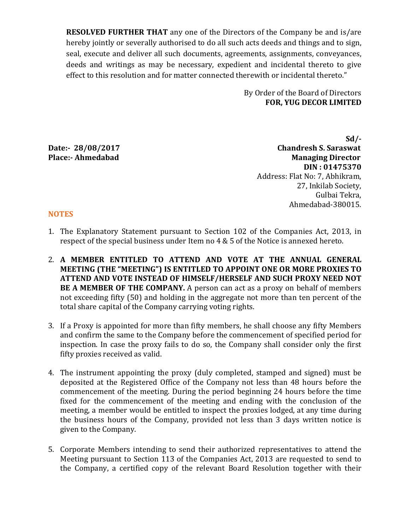**RESOLVED FURTHER THAT** any one of the Directors of the Company be and is/are hereby jointly or severally authorised to do all such acts deeds and things and to sign, seal, execute and deliver all such documents, agreements, assignments, conveyances, deeds and writings as may be necessary, expedient and incidental thereto to give effect to this resolution and for matter connected therewith or incidental thereto."

> By Order of the Board of Directors **FOR, YUG DECOR LIMITED**

 **Sd/- Date:- 28/08/2017 Chandresh S. Saraswat Managing Director DIN : 01475370**  Address: Flat No: 7, Abhikram, 27, Inkilab Society, Gulbai Tekra, Ahmedabad-380015.

#### **NOTES**

- 1. The Explanatory Statement pursuant to Section 102 of the Companies Act, 2013, in respect of the special business under Item no 4 & 5 of the Notice is annexed hereto.
- 2. **A MEMBER ENTITLED TO ATTEND AND VOTE AT THE ANNUAL GENERAL MEETING (THE "MEETING") IS ENTITLED TO APPOINT ONE OR MORE PROXIES TO ATTEND AND VOTE INSTEAD OF HIMSELF/HERSELF AND SUCH PROXY NEED NOT BE A MEMBER OF THE COMPANY.** A person can act as a proxy on behalf of members not exceeding fifty (50) and holding in the aggregate not more than ten percent of the total share capital of the Company carrying voting rights.
- 3. If a Proxy is appointed for more than fifty members, he shall choose any fifty Members and confirm the same to the Company before the commencement of specified period for inspection. In case the proxy fails to do so, the Company shall consider only the first fifty proxies received as valid.
- 4. The instrument appointing the proxy (duly completed, stamped and signed) must be deposited at the Registered Office of the Company not less than 48 hours before the commencement of the meeting. During the period beginning 24 hours before the time fixed for the commencement of the meeting and ending with the conclusion of the meeting, a member would be entitled to inspect the proxies lodged, at any time during the business hours of the Company, provided not less than 3 days written notice is given to the Company.
- 5. Corporate Members intending to send their authorized representatives to attend the Meeting pursuant to Section 113 of the Companies Act, 2013 are requested to send to the Company, a certified copy of the relevant Board Resolution together with their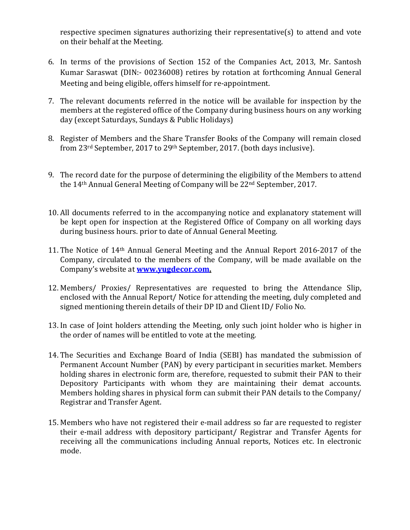respective specimen signatures authorizing their representative(s) to attend and vote on their behalf at the Meeting.

- 6. In terms of the provisions of Section 152 of the Companies Act, 2013, Mr. Santosh Kumar Saraswat (DIN:- 00236008) retires by rotation at forthcoming Annual General Meeting and being eligible, offers himself for re-appointment.
- 7. The relevant documents referred in the notice will be available for inspection by the members at the registered office of the Company during business hours on any working day (except Saturdays, Sundays & Public Holidays)
- 8. Register of Members and the Share Transfer Books of the Company will remain closed from 23<sup>rd</sup> September, 2017 to 29<sup>th</sup> September, 2017. (both days inclusive).
- 9. The record date for the purpose of determining the eligibility of the Members to attend the 14th Annual General Meeting of Company will be 22nd September, 2017.
- 10. All documents referred to in the accompanying notice and explanatory statement will be kept open for inspection at the Registered Office of Company on all working days during business hours. prior to date of Annual General Meeting.
- 11. The Notice of 14th Annual General Meeting and the Annual Report 2016-2017 of the Company, circulated to the members of the Company, will be made available on the Company's website at **www.yugdecor.com.**
- 12. Members/ Proxies/ Representatives are requested to bring the Attendance Slip, enclosed with the Annual Report/ Notice for attending the meeting, duly completed and signed mentioning therein details of their DP ID and Client ID/ Folio No.
- 13. In case of Joint holders attending the Meeting, only such joint holder who is higher in the order of names will be entitled to vote at the meeting.
- 14. The Securities and Exchange Board of India (SEBI) has mandated the submission of Permanent Account Number (PAN) by every participant in securities market. Members holding shares in electronic form are, therefore, requested to submit their PAN to their Depository Participants with whom they are maintaining their demat accounts. Members holding shares in physical form can submit their PAN details to the Company/ Registrar and Transfer Agent.
- 15. Members who have not registered their e-mail address so far are requested to register their e-mail address with depository participant/ Registrar and Transfer Agents for receiving all the communications including Annual reports, Notices etc. In electronic mode.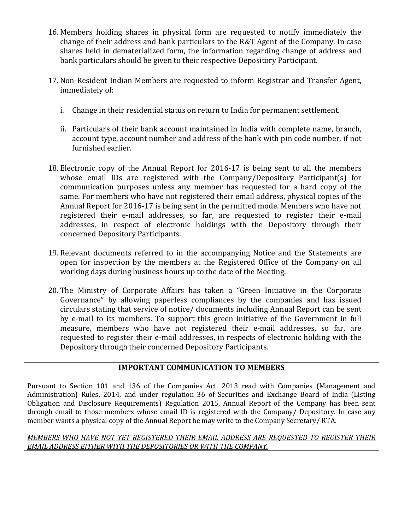- 16. Members holding shares in physical form are requested to notify immediately the change of their address and bank particulars to the R&T Agent of the Company. In case shares held in dematerialized form, the information regarding change of address and bank particulars should be given to their respective Depository Participant.
- 17. Non-Resident Indian Members are requested to inform Registrar and Transfer Agent, immediately of:
	- i. Change in their residential status on return to India for permanent settlement.
	- ii. Particulars of their bank account maintained in India with complete name, branch, account type, account number and address of the bank with pin code number, if not furnished earlier.
- 18. Electronic copy of the Annual Report for 2016-17 is being sent to all the members whose email IDs are registered with the Company/Depository Participant(s) for communication purposes unless any member has requested for a hard copy of the same. For members who have not registered their email address, physical copies of the Annual Report for 2016-17 is being sent in the permitted mode. Members who have not registered their e-mail addresses, so far, are requested to register their e-mail addresses, in respect of electronic holdings with the Depository through their concerned Depository Participants.
- 19. Relevant documents referred to in the accompanying Notice and the Statements are open for inspection by the members at the Registered Office of the Company on all working days during business hours up to the date of the Meeting.
- 20. The Ministry of Corporate Affairs has taken a "Green Initiative in the Corporate Governance" by allowing paperless compliances by the companies and has issued circulars stating that service of notice/ documents including Annual Report can be sent by e-mail to its members. To support this green initiative of the Government in full measure, members who have not registered their e-mail addresses, so far, are requested to register their e-mail addresses, in respects of electronic holding with the Depository through their concerned Depository Participants.

# **IMPORTANT COMMUNICATION TO MEMBERS**

Pursuant to Section 101 and 136 of the Companies Act, 2013 read with Companies (Management and Administration) Rules, 2014, and under regulation 36 of Securities and Exchange Board of India (Listing Obligation and Disclosure Requirements) Regulation 2015, Annual Report of the Company has been sent through email to those members whose email ID is registered with the Company/ Depository. In case any member wants a physical copy of the Annual Report he may write to the Company Secretary/ RTA.

*MEMBERS WHO HAVE NOT YET REGISTERED THEIR EMAIL ADDRESS ARE REQUESTED TO REGISTER THEIR EMAIL ADDRESS EITHER WITH THE DEPOSITORIES OR WITH THE COMPANY.*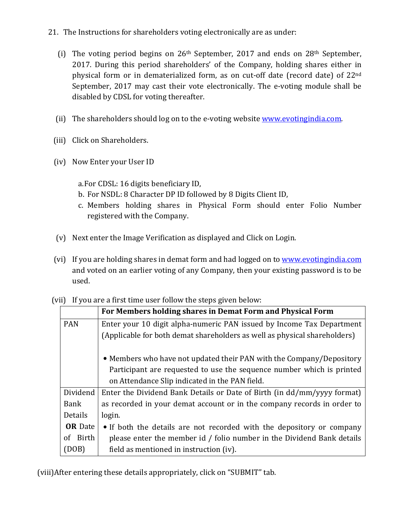- 21. The Instructions for shareholders voting electronically are as under:
	- (i) The voting period begins on  $26<sup>th</sup>$  September, 2017 and ends on  $28<sup>th</sup>$  September, 2017. During this period shareholders' of the Company, holding shares either in physical form or in dematerialized form, as on cut-off date (record date) of 22nd September, 2017 may cast their vote electronically. The e-voting module shall be disabled by CDSL for voting thereafter.
	- (ii) The shareholders should log on to the e-voting website www.evotingindia.com.
	- (iii) Click on Shareholders.
	- (iv) Now Enter your User ID

a.For CDSL: 16 digits beneficiary ID,

- b. For NSDL: 8 Character DP ID followed by 8 Digits Client ID,
- c. Members holding shares in Physical Form should enter Folio Number registered with the Company.
- (v) Next enter the Image Verification as displayed and Click on Login.
- (vi) If you are holding shares in demat form and had logged on to www.evotingindia.com and voted on an earlier voting of any Company, then your existing password is to be used.

|  | (vii) If you are a first time user follow the steps given below: |  |  |  |
|--|------------------------------------------------------------------|--|--|--|
|--|------------------------------------------------------------------|--|--|--|

|                | For Members holding shares in Demat Form and Physical Form                |  |  |
|----------------|---------------------------------------------------------------------------|--|--|
| <b>PAN</b>     | Enter your 10 digit alpha-numeric PAN issued by Income Tax Department     |  |  |
|                | (Applicable for both demat shareholders as well as physical shareholders) |  |  |
|                |                                                                           |  |  |
|                | • Members who have not updated their PAN with the Company/Depository      |  |  |
|                | Participant are requested to use the sequence number which is printed     |  |  |
|                | on Attendance Slip indicated in the PAN field.                            |  |  |
| Dividend       | Enter the Dividend Bank Details or Date of Birth (in dd/mm/yyyy format)   |  |  |
| Bank           | as recorded in your demat account or in the company records in order to   |  |  |
| Details        | login.                                                                    |  |  |
| <b>OR</b> Date | • If both the details are not recorded with the depository or company     |  |  |
| of Birth       | please enter the member id / folio number in the Dividend Bank details    |  |  |
| (DOB)          | field as mentioned in instruction (iv).                                   |  |  |

(viii)After entering these details appropriately, click on "SUBMIT" tab.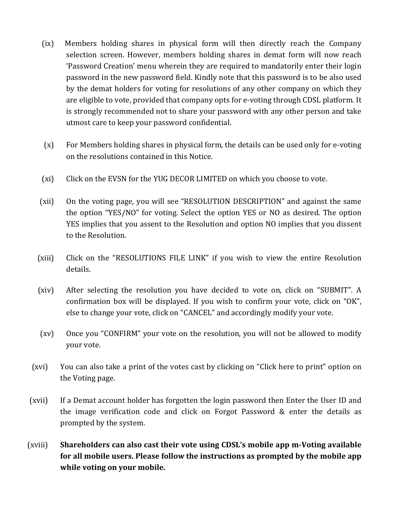- (ix) Members holding shares in physical form will then directly reach the Company selection screen. However, members holding shares in demat form will now reach 'Password Creation' menu wherein they are required to mandatorily enter their login password in the new password field. Kindly note that this password is to be also used by the demat holders for voting for resolutions of any other company on which they are eligible to vote, provided that company opts for e-voting through CDSL platform. It is strongly recommended not to share your password with any other person and take utmost care to keep your password confidential.
- (x) For Members holding shares in physical form, the details can be used only for e-voting on the resolutions contained in this Notice.
- (xi) Click on the EVSN for the YUG DECOR LIMITED on which you choose to vote.
- (xii) On the voting page, you will see "RESOLUTION DESCRIPTION" and against the same the option "YES/NO" for voting. Select the option YES or NO as desired. The option YES implies that you assent to the Resolution and option NO implies that you dissent to the Resolution.
- (xiii) Click on the "RESOLUTIONS FILE LINK" if you wish to view the entire Resolution details.
- (xiv) After selecting the resolution you have decided to vote on, click on "SUBMIT". A confirmation box will be displayed. If you wish to confirm your vote, click on "OK", else to change your vote, click on "CANCEL" and accordingly modify your vote.
- (xv) Once you "CONFIRM" your vote on the resolution, you will not be allowed to modify your vote.
- (xvi) You can also take a print of the votes cast by clicking on "Click here to print" option on the Voting page.
- (xvii) If a Demat account holder has forgotten the login password then Enter the User ID and the image verification code and click on Forgot Password & enter the details as prompted by the system.
- (xviii) **Shareholders can also cast their vote using CDSL's mobile app m-Voting available for all mobile users. Please follow the instructions as prompted by the mobile app while voting on your mobile.**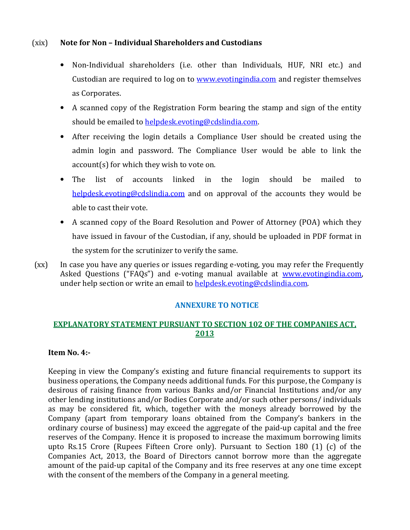# (xix) **Note for Non – Individual Shareholders and Custodians**

- Non-Individual shareholders (i.e. other than Individuals, HUF, NRI etc.) and Custodian are required to log on to www.evotingindia.com and register themselves as Corporates.
- A scanned copy of the Registration Form bearing the stamp and sign of the entity should be emailed to helpdesk.evoting@cdslindia.com.
- After receiving the login details a Compliance User should be created using the admin login and password. The Compliance User would be able to link the account(s) for which they wish to vote on.
- The list of accounts linked in the login should be mailed to helpdesk.evoting@cdslindia.com and on approval of the accounts they would be able to cast their vote.
- A scanned copy of the Board Resolution and Power of Attorney (POA) which they have issued in favour of the Custodian, if any, should be uploaded in PDF format in the system for the scrutinizer to verify the same.
- (xx) In case you have any queries or issues regarding e-voting, you may refer the Frequently Asked Questions ("FAQs") and e-voting manual available at www.evotingindia.com, under help section or write an email to helpdesk.evoting@cdslindia.com.

# **ANNEXURE TO NOTICE**

# **EXPLANATORY STATEMENT PURSUANT TO SECTION 102 OF THE COMPANIES ACT, 2013**

### **Item No. 4:-**

Keeping in view the Company's existing and future financial requirements to support its business operations, the Company needs additional funds. For this purpose, the Company is desirous of raising finance from various Banks and/or Financial Institutions and/or any other lending institutions and/or Bodies Corporate and/or such other persons/ individuals as may be considered fit, which, together with the moneys already borrowed by the Company (apart from temporary loans obtained from the Company's bankers in the ordinary course of business) may exceed the aggregate of the paid-up capital and the free reserves of the Company. Hence it is proposed to increase the maximum borrowing limits upto Rs.15 Crore (Rupees Fifteen Crore only). Pursuant to Section 180 (1) (c) of the Companies Act, 2013, the Board of Directors cannot borrow more than the aggregate amount of the paid-up capital of the Company and its free reserves at any one time except with the consent of the members of the Company in a general meeting.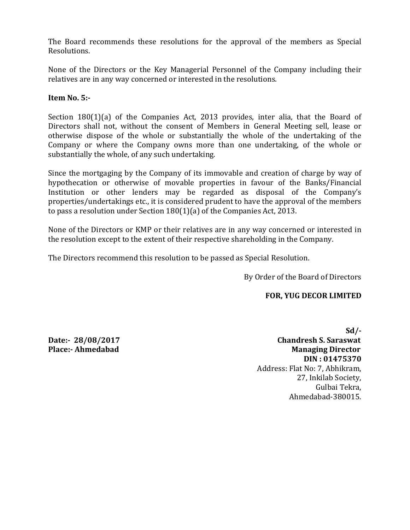The Board recommends these resolutions for the approval of the members as Special Resolutions.

None of the Directors or the Key Managerial Personnel of the Company including their relatives are in any way concerned or interested in the resolutions.

## **Item No. 5:-**

Section 180(1)(a) of the Companies Act, 2013 provides, inter alia, that the Board of Directors shall not, without the consent of Members in General Meeting sell, lease or otherwise dispose of the whole or substantially the whole of the undertaking of the Company or where the Company owns more than one undertaking, of the whole or substantially the whole, of any such undertaking.

Since the mortgaging by the Company of its immovable and creation of charge by way of hypothecation or otherwise of movable properties in favour of the Banks/Financial Institution or other lenders may be regarded as disposal of the Company's properties/undertakings etc., it is considered prudent to have the approval of the members to pass a resolution under Section 180(1)(a) of the Companies Act, 2013.

None of the Directors or KMP or their relatives are in any way concerned or interested in the resolution except to the extent of their respective shareholding in the Company.

The Directors recommend this resolution to be passed as Special Resolution.

By Order of the Board of Directors

### **FOR, YUG DECOR LIMITED**

**Sd/- Date:- 28/08/2017 Chandresh S. Saraswat Place:- Ahmedabad Managing Director Managing Director DIN : 01475370**  Address: Flat No: 7, Abhikram, 27, Inkilab Society, Gulbai Tekra, Ahmedabad-380015.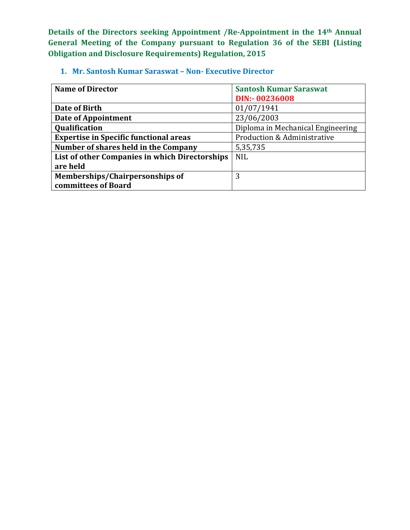**Details of the Directors seeking Appointment /Re-Appointment in the 14th Annual General Meeting of the Company pursuant to Regulation 36 of the SEBI (Listing Obligation and Disclosure Requirements) Regulation, 2015** 

**1. Mr. Santosh Kumar Saraswat – Non- Executive Director** 

| <b>Name of Director</b>                        | <b>Santosh Kumar Saraswat</b>          |  |
|------------------------------------------------|----------------------------------------|--|
|                                                | DIN:- 00236008                         |  |
| Date of Birth                                  | 01/07/1941                             |  |
| <b>Date of Appointment</b>                     | 23/06/2003                             |  |
| <b>Qualification</b>                           | Diploma in Mechanical Engineering      |  |
| <b>Expertise in Specific functional areas</b>  | <b>Production &amp; Administrative</b> |  |
| Number of shares held in the Company           | 5,35,735                               |  |
| List of other Companies in which Directorships | <b>NIL</b>                             |  |
| are held                                       |                                        |  |
| Memberships/Chairpersonships of                | 3                                      |  |
| committees of Board                            |                                        |  |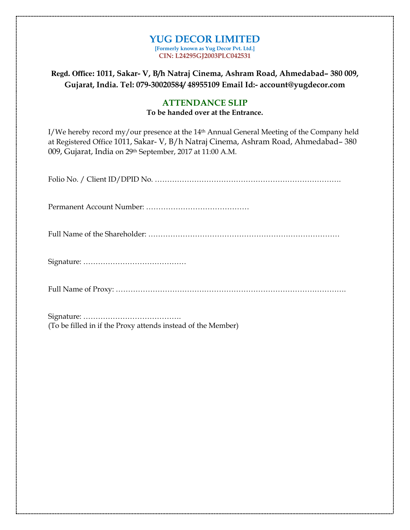#### **YUG DECOR LIMITED [Formerly known as Yug Decor Pvt. Ltd.] CIN: L24295GJ2003PLC042531**

**Regd. Office: 1011, Sakar- V, B/h Natraj Cinema, Ashram Road, Ahmedabad– 380 009, Gujarat, India. Tel: 079-30020584/ 48955109 Email Id:- account@yugdecor.com** 

# **ATTENDANCE SLIP To be handed over at the Entrance.**

I/We hereby record my/our presence at the 14th Annual General Meeting of the Company held at Registered Office 1011, Sakar- V, B/h Natraj Cinema, Ashram Road, Ahmedabad– 380 009, Gujarat, India on 29th September, 2017 at 11:00 A.M.

Signature: …………………………………. (To be filled in if the Proxy attends instead of the Member)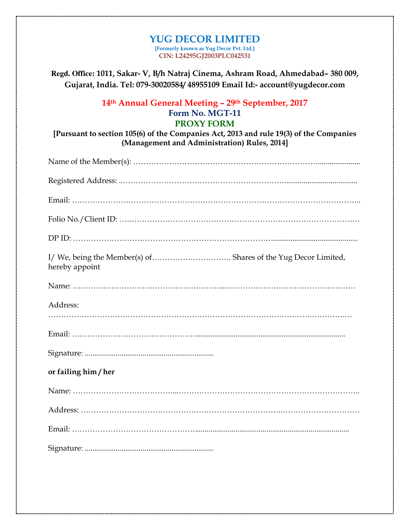#### **YUG DECOR LIMITED [Formerly known as Yug Decor Pvt. Ltd.] CIN: L24295GJ2003PLC042531**

**Regd. Office: 1011, Sakar- V, B/h Natraj Cinema, Ashram Road, Ahmedabad– 380 009, Gujarat, India. Tel: 079-30020584/ 48955109 Email Id:- account@yugdecor.com** 

# **14th Annual General Meeting – 29th September, 2017 Form No. MGT-11 PROXY FORM**

**[Pursuant to section 105(6) of the Companies Act, 2013 and rule 19(3) of the Companies (Management and Administration) Rules, 2014]** 

| hereby appoint       |
|----------------------|
|                      |
| Address:             |
|                      |
|                      |
| or failing him / her |
|                      |
|                      |
|                      |
|                      |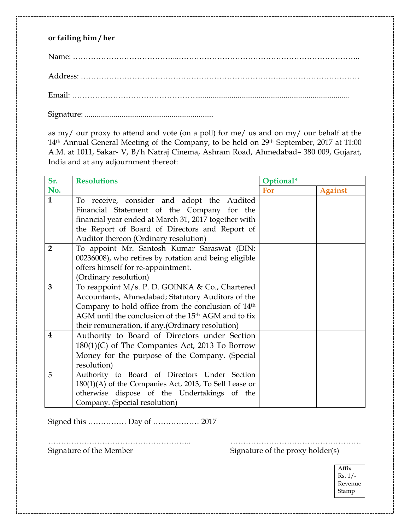# **or failing him / her**

Signature: ...................................................................

as my/ our proxy to attend and vote (on a poll) for me/ us and on my/ our behalf at the 14<sup>th</sup> Annual General Meeting of the Company, to be held on 29<sup>th</sup> September, 2017 at 11:00 A.M. at 1011, Sakar- V, B/h Natraj Cinema, Ashram Road, Ahmedabad– 380 009, Gujarat, India and at any adjournment thereof:

| Sr.                     | <b>Resolutions</b>                                              | Optional* |                |
|-------------------------|-----------------------------------------------------------------|-----------|----------------|
| No.                     |                                                                 | For       | <b>Against</b> |
| $\mathbf{1}$            | To receive, consider and adopt the Audited                      |           |                |
|                         | Financial Statement of the Company for the                      |           |                |
|                         | financial year ended at March 31, 2017 together with            |           |                |
|                         | the Report of Board of Directors and Report of                  |           |                |
|                         | Auditor thereon (Ordinary resolution)                           |           |                |
| $\overline{2}$          | To appoint Mr. Santosh Kumar Saraswat (DIN:                     |           |                |
|                         | 00236008), who retires by rotation and being eligible           |           |                |
|                         | offers himself for re-appointment.                              |           |                |
|                         | (Ordinary resolution)                                           |           |                |
| 3                       | To reappoint M/s. P. D. GOINKA & Co., Chartered                 |           |                |
|                         | Accountants, Ahmedabad; Statutory Auditors of the               |           |                |
|                         | Company to hold office from the conclusion of 14 <sup>th</sup>  |           |                |
|                         | AGM until the conclusion of the 15 <sup>th</sup> AGM and to fix |           |                |
|                         | their remuneration, if any. (Ordinary resolution)               |           |                |
| $\overline{\mathbf{4}}$ | Authority to Board of Directors under Section                   |           |                |
|                         | $180(1)(C)$ of The Companies Act, 2013 To Borrow                |           |                |
|                         | Money for the purpose of the Company. (Special                  |           |                |
|                         | resolution)                                                     |           |                |
| 5                       | Authority to Board of Directors Under Section                   |           |                |
|                         | $180(1)(A)$ of the Companies Act, 2013, To Sell Lease or        |           |                |
|                         | otherwise dispose of the Undertakings of the                    |           |                |
|                         | Company. (Special resolution)                                   |           |                |

Signed this …………… Day of ……………… 2017

……………………………………………….. ……………………………………………

Signature of the Member Signature of the proxy holder(s)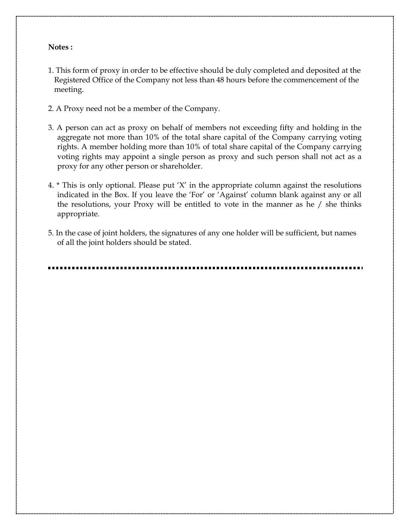#### **Notes :**

- 1. This form of proxy in order to be effective should be duly completed and deposited at the Registered Office of the Company not less than 48 hours before the commencement of the meeting.
- 2. A Proxy need not be a member of the Company.
- 3. A person can act as proxy on behalf of members not exceeding fifty and holding in the aggregate not more than 10% of the total share capital of the Company carrying voting rights. A member holding more than 10% of total share capital of the Company carrying voting rights may appoint a single person as proxy and such person shall not act as a proxy for any other person or shareholder.
- 4. \* This is only optional. Please put 'X' in the appropriate column against the resolutions indicated in the Box. If you leave the 'For' or 'Against' column blank against any or all the resolutions, your Proxy will be entitled to vote in the manner as he / she thinks appropriate.
- 5. In the case of joint holders, the signatures of any one holder will be sufficient, but names of all the joint holders should be stated.